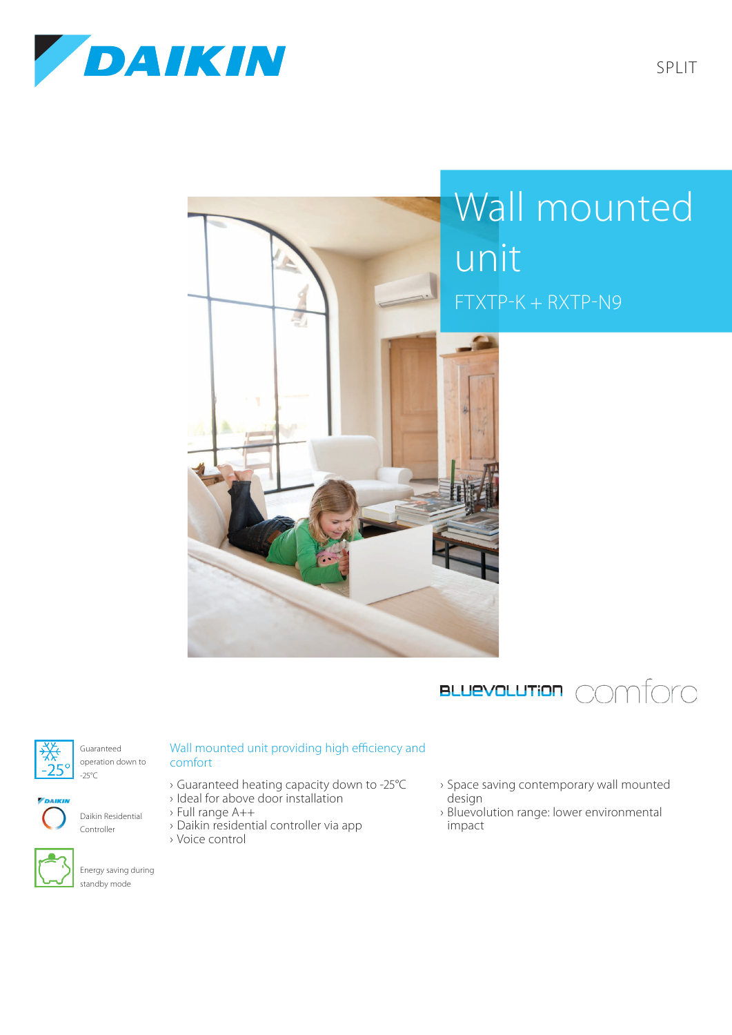



## Wall mounted unit FTXTP-K + RXTP-N9





Guaranteed operation down to -25°C



Daikin Residential Controller



Energy saving during standby mode

## Wall mounted unit providing high efficiency and comfort

- › Guaranteed heating capacity down to -25°C
- › Ideal for above door installation
- › Full range A++
- › Daikin residential controller via app › Voice control
- › Space saving contemporary wall mounted design
- › Bluevolution range: lower environmental impact